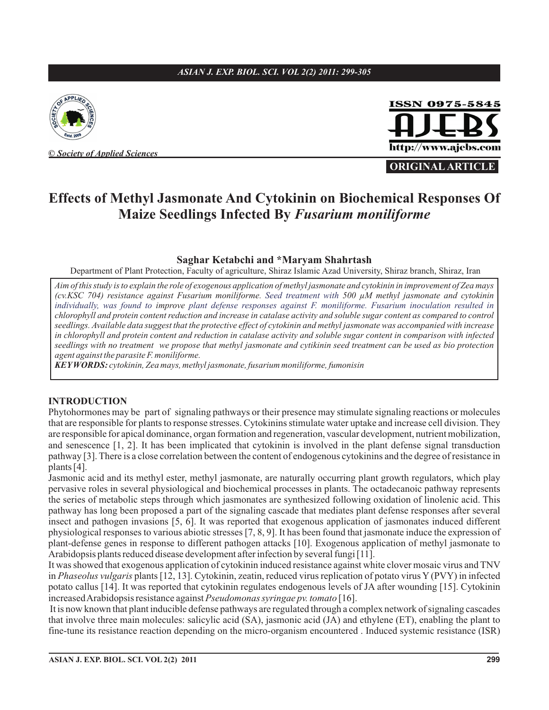## *ASIAN J. EXP. BIOL. SCI. VOL 2(2) 2011: 299-305*



**©** *Society of Applied Sciences*



**ORIGINAL ARTICLE**

# **Effects of Methyl Jasmonate And Cytokinin on Biochemical Responses Of Maize Seedlings Infected By** *Fusarium moniliforme*

#### **Saghar Ketabchi and \*Maryam Shahrtash**

Department of Plant Protection, Faculty of agriculture, Shiraz Islamic Azad University, Shiraz branch, Shiraz, Iran

*Aim of this study is to explain the role of exogenous application of methyl jasmonate and cytokinin in improvement of Zea mays (cv.KSC 704) resistance against Fusarium moniliforme. 500 µM methyl jasmonate and cytokinin Seed treatment with individually, was found to improve plant defense responses against F. moniliforme. Fusarium inoculation resulted in chlorophyll and protein content reduction and increase in catalase activity and soluble sugar content as compared to control seedlings. Available data suggest that the protective effect of cytokinin and methyl jasmonate was accompanied with increase in chlorophyll and protein content and reduction in catalase activity and soluble sugar content in comparison with infected seedlings with no treatment we propose that methyl jasmonate and cytikinin seed treatment can be used as bio protection agent against the parasite F. moniliforme.*

*KEYWORDS: cytokinin, Zea mays, methyl jasmonate, fusarium moniliforme, fumonisin*

#### **INTRODUCTION**

Phytohormones may be part of signaling pathways or their presence may stimulate signaling reactions or molecules that are responsible for plants to response stresses. Cytokinins stimulate water uptake and increase cell division. They are responsible for apical dominance, organ formation and regeneration, vascular development, nutrient mobilization, and senescence [1, 2]. It has been implicated that cytokinin is involved in the plant defense signal transduction pathway [3]. There is a close correlation between the content of endogenous cytokinins and the degree of resistance in plants [4].

Jasmonic acid and its methyl ester, methyl jasmonate, are naturally occurring plant growth regulators, which play pervasive roles in several physiological and biochemical processes in plants. The octadecanoic pathway represents the series of metabolic steps through which jasmonates are synthesized following oxidation of linolenic acid. This pathway has long been proposed a part of the signaling cascade that mediates plant defense responses after several insect and pathogen invasions [5, 6]. It was reported that exogenous application of jasmonates induced different physiological responses to various abiotic stresses [7, 8, 9]. It has been found that jasmonate induce the expression of plant-defense genes in response to different pathogen attacks [10]. Exogenous application of methyl jasmonate to Arabidopsis plants reduced disease development after infection by several fungi [11].

It was showed that exogenous application of cytokinin induced resistance against white clover mosaic virus and TNV in Phaseolus vulgaris plants [12, 13]. Cytokinin, zeatin, reduced virus replication of potato virus Y (PVY) in infected potato callus [14]. It was reported that cytokinin regulates endogenous levels of JA after wounding [15]. Cytokinin increased Arabidopsis resistance against Pseudomonas syringae pv. tomato [16].

It is now known that plant inducible defense pathways are regulated through a complex network of signaling cascades that involve three main molecules: salicylic acid (SA), jasmonic acid (JA) and ethylene (ET), enabling the plant to fine-tune its resistance reaction depending on the micro-organism encountered . Induced systemic resistance (ISR)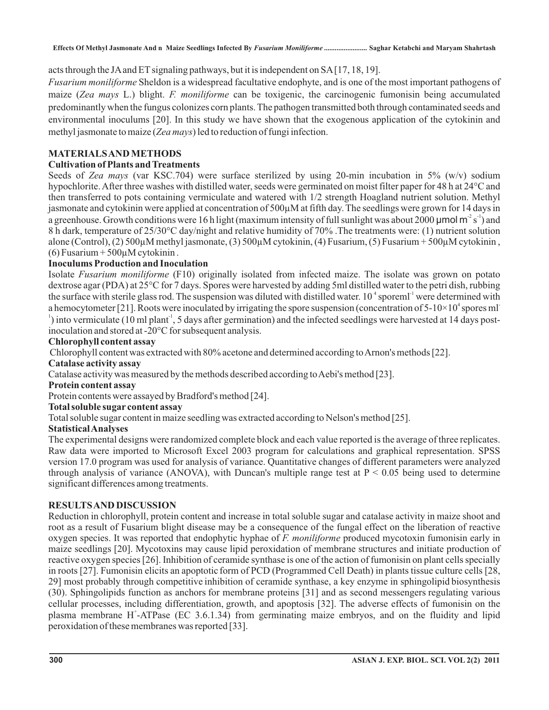acts through the JAand ET signaling pathways, but it is independent on SA [17, 18, 19].

Fusarium moniliforme Sheldon is a widespread facultative endophyte, and is one of the most important pathogens of maize (Zea mays L.) blight. F. moniliforme can be toxigenic, the carcinogenic fumonisin being accumulated predominantly when the fungus colonizes corn plants. The pathogen transmitted both through contaminated seeds and environmental inoculums [20]. In this study we have shown that the exogenous application of the cytokinin and methyl jasmonate to maize (Zea mays) led to reduction of fungi infection.

# **MATERIALSANDMETHODS**

## **Cultivation of Plants andTreatments**

Seeds of Zea mays (var KSC.704) were surface sterilized by using 20-min incubation in 5% (w/v) sodium hypochlorite.After three washes with distilled water, seeds were germinated on moist filter paper for 48 h at 24°C and then transferred to pots containing vermiculate and watered with 1/2 strength Hoagland nutrient solution. Methyl jasmonate and cytokinin were applied at concentration of 500µM at fifth day. The seedlings were grown for 14 days in a greenhouse. Growth conditions were 16 h light (maximum intensity of full sunlight was about 2000 µmol m<sup>-2</sup> s<sup>-1</sup>) and 8 h dark, temperature of 25/30°C day/night and relative humidity of 70% .The treatments were: (1) nutrient solution alone (Control), (2) 500µM methyl jasmonate, (3) 500µM cytokinin, (4) Fusarium, (5) Fusarium + 500µM cytokinin ,  $(6)$  Fusarium + 500 $\mu$ M cytokinin.

## **Inoculums Production and Inoculation**

Isolate Fusarium moniliforme (F10) originally isolated from infected maize. The isolate was grown on potato dextrose agar (PDA) at 25°C for 7 days. Spores were harvested by adding 5ml distilled water to the petri dish, rubbing the surface with sterile glass rod. The suspension was diluted with distilled water. 10<sup> $4$ </sup> sporeml<sup>-1</sup> were determined with a hemocytometer [21]. Roots were inoculated by irrigating the spore suspension (concentration of  $5-10\times10^4$  spores ml  $\alpha$ <sup>1</sup>) into vermiculate (10 ml plant<sup>-1</sup>, 5 days after germination) and the infected seedlings were harvested at 14 days postinoculation and stored at -20°C for subsequent analysis.

## **Chlorophyll content assay**

Chlorophyll content was extracted with 80% acetone and determined according to Arnon's methods [22].

#### **Catalase activity assay**

Catalase activity was measured by the methods described according to Aebi's method [23].

## **Protein content assay**

Protein contents were assayed by Bradford's method [24].

## **Total soluble sugar content assay**

Total soluble sugar content in maize seedling was extracted according to Nelson's method [25].

## **StatisticalAnalyses**

The experimental designs were randomized complete block and each value reported is the average of three replicates. Raw data were imported to Microsoft Excel 2003 program for calculations and graphical representation. SPSS version 17.0 program was used for analysis of variance. Quantitative changes of different parameters were analyzed through analysis of variance (ANOVA), with Duncan's multiple range test at  $P < 0.05$  being used to determine significant differences among treatments.

## **RESULTSAND DISCUSSION**

Reduction in chlorophyll, protein content and increase in total soluble sugar and catalase activity in maize shoot and root as a result of Fusarium blight disease may be a consequence of the fungal effect on the liberation of reactive oxygen species. It was reported that endophytic hyphae of F. moniliforme produced mycotoxin fumonisin early in maize seedlings [20]. Mycotoxins may cause lipid peroxidation of membrane structures and initiate production of reactive oxygen species [26]. Inhibition of ceramide synthase is one of the action of fumonisin on plant cells specially in roots [27]. Fumonisin elicits an apoptotic form of PCD (Programmed Cell Death) in plants tissue culture cells [28, 29] most probably through competitive inhibition of ceramide synthase, a key enzyme in sphingolipid biosynthesis (30). Sphingolipids function as anchors for membrane proteins [31] and as second messengers regulating various cellular processes, including differentiation, growth, and apoptosis [32]. The adverse effects of fumonisin on the plasma membrane H<sup>+</sup>-ATPase (EC 3.6.1.34) from germinating maize embryos, and on the fluidity and lipid peroxidation of these membranes was reported [33].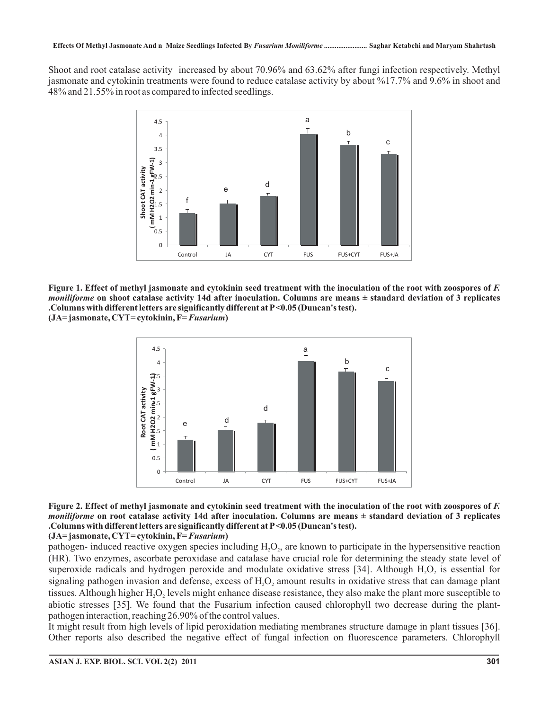Shoot and root catalase activity increased by about 70.96% and 63.62% after fungi infection respectively. Methyl jasmonate and cytokinin treatments were found to reduce catalase activity by about %17.7% and 9.6% in shoot and 48% and 21.55% in root as compared to infected seedlings.



**1. Effect of methyl jasmonate and cytokinin seed treatment with the inoculation of the root with zoospores of** *F.* **Figure on shoot catalase activity 14d after inoculation. Columns are means ± standard deviation of 3 replicates** *moniliforme* **.Columns with different letters are significantly different at P<0.05 (Duncan's test).** (JA=jasmonate, CYT=cytokinin, F= *Fusarium*)



## **2. Effect of methyl jasmonate and cytokinin seed treatment with the inoculation of the root with zoospores of** *F.* **Figure on root catalase activity 14d after inoculation. Columns are means ± standard deviation of 3 replicates** *moniliforme* **.Columns with different letters are significantly different at P<0.05 (Duncan's test).**

(JA=jasmonate, CYT=cytokinin, F= *Fusarium*)

pathogen- induced reactive oxygen species including  $H_2O_2$ , are known to participate in the hypersensitive reaction (HR). Two enzymes, ascorbate peroxidase and catalase have crucial role for determining the steady state level of superoxide radicals and hydrogen peroxide and modulate oxidative stress [34]. Although  $H_2O_2$  is essential for signaling pathogen invasion and defense, excess of  $H_2O_2$  amount results in oxidative stress that can damage plant tissues. Although higher  $H_2O_2$  levels might enhance disease resistance, they also make the plant more susceptible to abiotic stresses [35]. We found that the Fusarium infection caused chlorophyll two decrease during the plantpathogen interaction, reaching 26.90% of the control values.

It might result from high levels of lipid peroxidation mediating membranes structure damage in plant tissues [36]. Other reports also described the negative effect of fungal infection on fluorescence parameters. Chlorophyll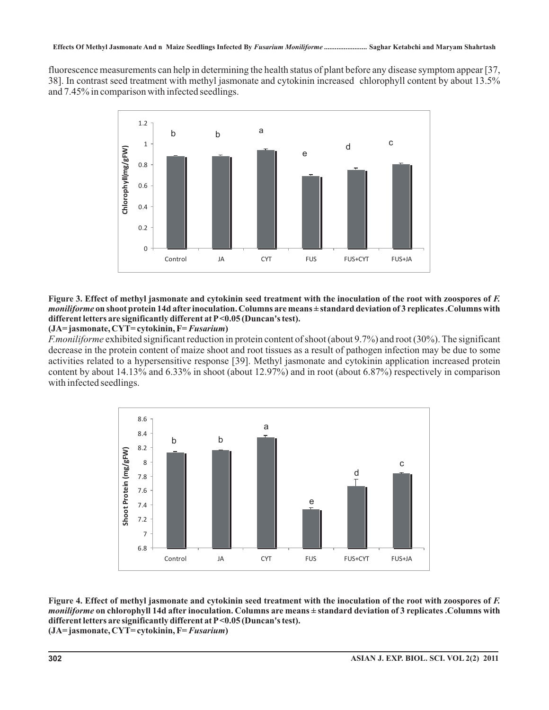fluorescence measurements can help in determining the health status of plant before any disease symptom appear [37, 38]. In contrast seed treatment with methyl jasmonate and cytokinin increased chlorophyll content by about 13.5% and 7.45% in comparison with infected seedlings.



#### **3. Effect of methyl jasmonate and cytokinin seed treatment with the inoculation of the root with zoospores of** *F.* **Figure on shoot protein 14d afterinoculation. Columns are means ± standard deviation of 3 replicates .Columns with** *moniliforme* **different letters are significantly different at P<0.05 (Duncan's test).**

#### (JA=jasmonate, CYT=cytokinin, F= *Fusarium*)

*F.moniliforme* exhibited significant reduction in protein content of shoot (about 9.7%) and root (30%). The significant decrease in the protein content of maize shoot and root tissues as a result of pathogen infection may be due to some activities related to a hypersensitive response [39]. Methyl jasmonate and cytokinin application increased protein content by about 14.13% and 6.33% in shoot (about 12.97%) and in root (about 6.87%) respectively in comparison with infected seedlings.



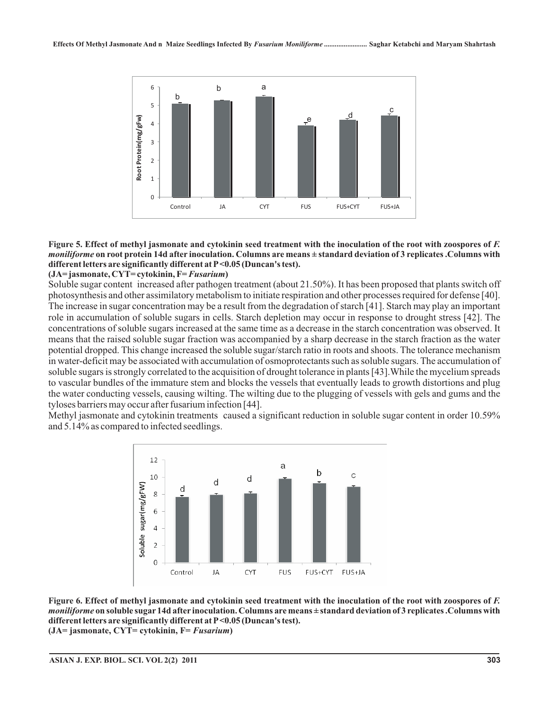

#### **Figure 5. Effect of methyl jasmonate and cytokinin seed treatment with the inoculation of the root with zoospores of** *F.* **on root protein 14d after inoculation. Columns are means ± standard deviation of 3 replicates .Columns with** *moniliforme* **different letters are significantly different at P<0.05 (Duncan's test).**

#### (JA=jasmonate, CYT=cytokinin, F= *Fusarium*)

Soluble sugar content increased after pathogen treatment (about 21.50%). It has been proposed that plants switch off photosynthesis and other assimilatory metabolism to initiate respiration and other processes required for defense [40]. The increase in sugar concentration may be a result from the degradation of starch [41]. Starch may play an important role in accumulation of soluble sugars in cells. Starch depletion may occur in response to drought stress [42]. The concentrations of soluble sugars increased at the same time as a decrease in the starch concentration was observed. It means that the raised soluble sugar fraction was accompanied by a sharp decrease in the starch fraction as the water potential dropped. This change increased the soluble sugar/starch ratio in roots and shoots. The tolerance mechanism in water-deficit may be associated with accumulation of osmoprotectants such as soluble sugars. The accumulation of soluble sugars is strongly correlated to the acquisition of drought tolerance in plants [43].While the mycelium spreads to vascular bundles of the immature stem and blocks the vessels that eventually leads to growth distortions and plug the water conducting vessels, causing wilting. The wilting due to the plugging of vessels with gels and gums and the tyloses barriers may occur after fusarium infection [44].

Methyl jasmonate and cytokinin treatments caused a significant reduction in soluble sugar content in order 10.59% and 5.14% as compared to infected seedlings.



**Figure 6. Effect of methyl jasmonate and cytokinin seed treatment with the inoculation of the root with zoospores of** *F.* **on soluble sugar 14d afterinoculation. Columns are means ± standard deviation of 3 replicates .Columns with** *moniliforme* **different letters are significantly different at P<0.05 (Duncan's test).** (JA= jasmonate, CYT= cytokinin, F= *Fusarium*)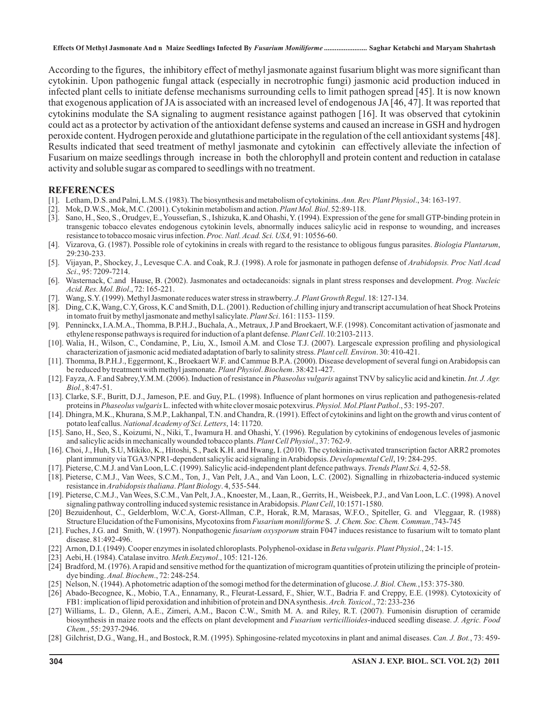**Effects Of Methyl Jasmonate And n Maize Seedlings Infected By** *Fusarium Moniliforme ........................* **Saghar Ketabchi and Maryam Shahrtash**

According to the figures, the inhibitory effect of methyl jasmonate against fusarium blight was more significant than cytokinin. Upon pathogenic fungal attack (especially in necrotrophic fungi) jasmonic acid production induced in infected plant cells to initiate defense mechanisms surrounding cells to limit pathogen spread [45]. It is now known that exogenous application of JA is associated with an increased level of endogenous JA [46, 47]. It was reported that cytokinins modulate the SA signaling to augment resistance against pathogen [16]. It was observed that cytokinin could act as a protector by activation of the antioxidant defense systems and caused an increase in GSH and hydrogen peroxide content. Hydrogen peroxide and glutathione participate in the regulation of the cell antioxidant systems [48]. Results indicated that seed treatment of methyl jasmonate and cytokinin can effectively alleviate the infection of Fusarium on maize seedlings through increase in both the chlorophyll and protein content and reduction in catalase activity and soluble sugar as compared to seedlings with no treatment.

#### **REFERENCES**

- [1]. Letham, D.S. and Palni, L.M.S. (1983). The biosynthesis and metabolism of cytokinins. Ann. Rev. Plant Physiol., 34: 163-197.
- [2]. Mok, D.W.S., Mok, M.C. (2001). Cytokinin metabolism and action. *Plant Mol. Biol.* 52:89-118.
- [3]. Sano, H., Seo, S., Orudgev, E., Youssefian, S., Ishizuka, K.and Ohashi, Y. (1994). Expression of the gene for small GTP-binding protein in transgenic tobacco elevates endogenous cytokinin levels, abnormally induces salicylic acid in response to wounding, and increases resistance to tobacco mosaic virus infection. Proc. Natl. Acad. Sci. USA, 91: 10556-60.
- [4]. Vizarova, G. (1987). Possible role of cytokinins in creals with regard to the resistance to obligous fungus parasites. *Biologia Plantarum*, 29:230-233.
- [5]. Vijayan, P., Shockey, J., Levesque C.A. and Coak, R.J. (1998). A role for jasmonate in pathogen defense of *Arabidopsis. Proc Natl Acad* ., 95: 7209-7214. *Sci*
- [6]. Wasternack, C.and Hause, B. (2002). Jasmonates and octadecanoids: signals in plant stress responses and development. *Prog. Nucleic* ., 72: 165-221. *Acid. Res. Mol. Biol*
- [7]. Wang, S.Y. (1999). Methyl Jasmonate reduces water stress in strawberry. *J. Plant Growth Regul*. 18: 127-134.
- [8]. Ding, C.K,Wang, C.Y, Gross, K.C and Smith, D.L. (2001). Reduction of chilling injury and transcript accumulation of heat Shock Proteins in tomato fruit by methyl jasmonate and methyl salicylate. *Plant Sci*. 161: 1153-1159.
- [9]. Penninckx, I.A.M.A., Thomma, B.P.H.J., Buchala, A., Metraux, J.P and Broekaert, W.F. (1998). Concomitant activation of jasmonate and ethylene response pathways is required for induction of a plant defense. *Plant Cell*. 10:2103-2113.
- [10]. Walia, H., Wilson, C., Condamine, P., Liu, X., Ismoil A.M. and Close T.J. (2007). Largescale expression profiling and physiological characterization of jasmonic acid mediated adaptation of barly to salinity stress. Plant cell. Environ. 30: 410-421.
- [11]. Thomma, B.P.H.J., Eggermont, K., Broekaert W.F. and Cammue B.P.A. (2000). Disease development of several fungi on Arabidopsis can be reduced by treatment with methyl jasmonate. Plant Physiol. Biochem. 38:421-427.
- [12]. Fayza, A. F.and Sabrey, Y.M.M. (2006). Induction of resistance in *Phaseolus vulgaris* against TNV by salicylic acid and kinetin. Int. J. Agr. , 8:47-51. *Biol.*
- [13]. Clarke, S.F., Buritt, D.J., Jameson, P.E. and Guy, P.L. (1998). Influence of plant hormones on virus replication and pathogenesis-related proteins in Phaseolus vulgaris L. infected with white clover mosaic potexvirus. Physiol. Mol.Plant Pathol., 53: 195-207.
- [14]. Dhingra, M.K., Khurana, S.M.P., Lakhanpal, T.N. and Chandra, R. (1991). Effect of cytokinins and light on the growth and virus content of potato leaf callus. National Academy of Sci. Letters, 14: 11720.
- [15]. Sano, H., Seo, S., Koizumi, N., Niki, T., Iwamura H. and Ohashi, Y. (1996). Regulation by cytokinins of endogenous leveles of jasmonic and salicylic acids in mechanically wounded tobacco plants. Plant Cell Physiol., 37: 762-9.
- [16]. Choi, J., Huh, S.U, Mikiko, K., Hitoshi, S., Paek K.H. and Hwang, I. (2010). The cytokinin-activated transcription factor ARR2 promotes plant immunity via TGA3/NPR1-dependent salicylic acid signaling in Arabidopsis. *Developmental Cell*, 19: 284-295.
- [17]. Pieterse, C.M.J. and Van Loon, L.C. (1999). Salicylic acid-independent plant defence pathways. Trends Plant Sci. 4, 52-58.
- [18]. Pieterse, C.M.J., Van Wees, S.C.M., Ton, J., Van Pelt, J.A., and Van Loon, L.C. (2002). Signalling in rhizobacteria-induced systemic resistance in Arabidopsis thaliana. Plant Biology. 4, 535-544.
- [19]. Pieterse, C.M.J., Van Wees, S.C.M., Van Pelt, J.A., Knoester, M., Laan, R., Gerrits, H., Weisbeek, P.J., and Van Loon, L.C. (1998). A novel signaling pathway controlling induced systemic resistance in Arabidopsis. Plant Cell, 10:1571-1580.
- [20] Bezuidenhout, C., Gelderblom, W.C.A, Gorst-Allman, C.P., Horak, R.M, Marasas, W.F.O., Spiteller, G. and Vleggaar, R. (1988) Structure Elucidation of the Fumonisins, Mycotoxins from Fusarium moniliforme S. J. Chem. Soc. Chem. Commun.,743-745
- [21]. Fuches, J.G. and Smith, W. (1997). Nonpathogenic *fusarium oxysporum* strain F047 induces resistance to fusarium wilt to tomato plant disease. 81:492-496.
- [22] Arnon, D.I. (1949). Cooper enzymes in isolated chloroplasts. Polyphenol-oxidase in *Beta vulgaris. Plant Physiol.*, 24: 1-15.
- [23] Aebi, H. (1984). Catalase invitro. Meth. Enzymol., 105: 121-126.
- [24] Bradford, M. (1976).A rapid and sensitive method for the quantization of microgram quantities of protein utilizing the principle of proteindye binding. Anal. Biochem., 72: 248-254.
- [25] Nelson, N. (1944). A photometric adaption of the somogi method for the determination of glucose. *J. Biol. Chem.*, 153: 375-380.
- [26] Abado-Becognee, K., Mobio, T.A., Ennamany, R., Fleurat-Lessard, F., Shier, W.T., Badria F. and Creppy, E.E. (1998). Cytotoxicity of FB1: implication of lipid peroxidation and inhibition of protein and DNA synthesis. Arch. Toxicol., 72: 233-236
- [27] Williams, L. D., Glenn, A.E., Zimeri, A.M., Bacon C.W., Smith M. A. and Riley, R.T. (2007). Fumonisin disruption of ceramide biosynthesis in maize roots and the effects on plant development and Fusarium verticillioides-induced seedling disease. J. Agric. Food , 55: 2937-2946. *Chem.*
- [28] Gilchrist, D.G., Wang, H., and Bostock, R.M. (1995). Sphingosine-related mycotoxins in plant and animal diseases. Can. J. Bot., 73: 459-